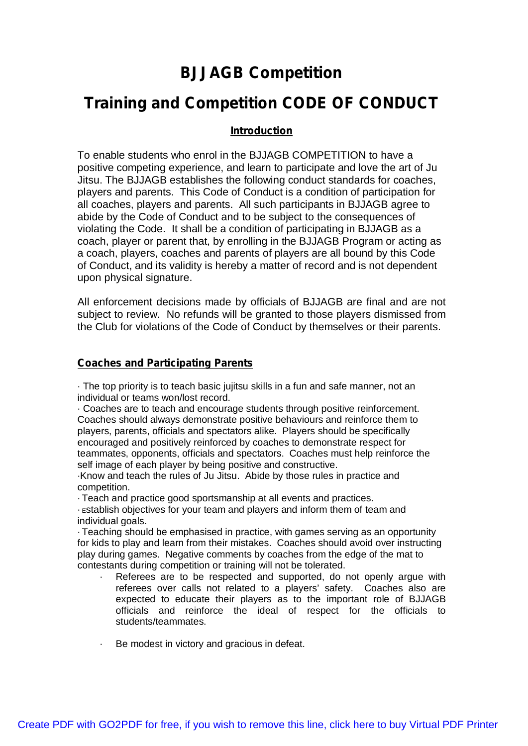# **BJJAGB Competition**

## **Training and Competition CODE OF CONDUCT**

## **Introduction**

To enable students who enrol in the BJJAGB COMPETITION to have a positive competing experience, and learn to participate and love the art of Ju Jitsu. The BJJAGB establishes the following conduct standards for coaches, players and parents. This Code of Conduct is a condition of participation for all coaches, players and parents. All such participants in BJJAGB agree to abide by the Code of Conduct and to be subject to the consequences of violating the Code. It shall be a condition of participating in BJJAGB as a coach, player or parent that, by enrolling in the BJJAGB Program or acting as a coach, players, coaches and parents of players are all bound by this Code of Conduct, and its validity is hereby a matter of record and is not dependent upon physical signature.

All enforcement decisions made by officials of BJJAGB are final and are not subject to review. No refunds will be granted to those players dismissed from the Club for violations of the Code of Conduct by themselves or their parents.

#### **Coaches and Participating Parents**

· The top priority is to teach basic jujitsu skills in a fun and safe manner, not an individual or teams won/lost record.

· Coaches are to teach and encourage students through positive reinforcement. Coaches should always demonstrate positive behaviours and reinforce them to players, parents, officials and spectators alike. Players should be specifically encouraged and positively reinforced by coaches to demonstrate respect for teammates, opponents, officials and spectators. Coaches must help reinforce the self image of each player by being positive and constructive.

·Know and teach the rules of Ju Jitsu. Abide by those rules in practice and competition.

· Teach and practice good sportsmanship at all events and practices.

· <sup>E</sup>stablish objectives for your team and players and inform them of team and individual goals.

· Teaching should be emphasised in practice, with games serving as an opportunity for kids to play and learn from their mistakes. Coaches should avoid over instructing play during games. Negative comments by coaches from the edge of the mat to contestants during competition or training will not be tolerated.

- Referees are to be respected and supported, do not openly argue with referees over calls not related to a players' safety. Coaches also are expected to educate their players as to the important role of BJJAGB officials and reinforce the ideal of respect for the officials to students/teammates.
- · Be modest in victory and gracious in defeat.